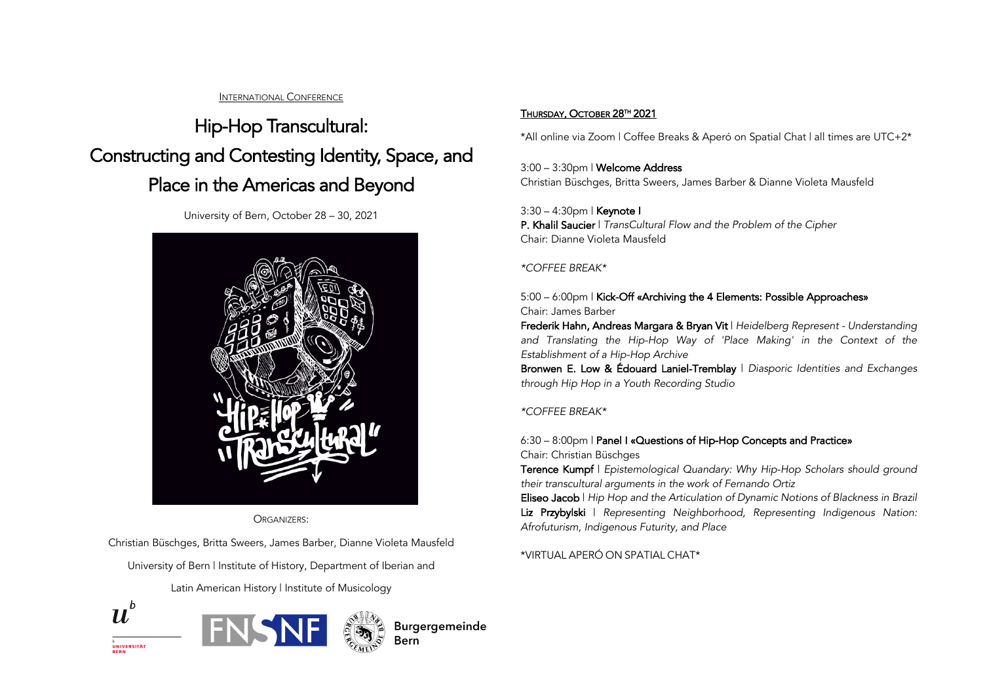#### INTERNATIONAL CONFERENCE

# Hip-Hop Transcultural: Constructing and Contesting Identity, Space, and Place in the Americas and Beyond

University of Bern, October 28 – 30, 2021



ORGANIZERS:

Christian Büschges, Britta Sweers, James Barber, Dianne Violeta Mausfeld

University of Bern | Institute of History, Department of Iberian and

Latin American History | Institute of Musicology







## THURSDAY, OCTOBER 28TH 2021

\*All online via Zoom | Coffee Breaks & Aperó on Spatial Chat | all times are UTC+2\*

#### 3:00 – 3:30pm | Welcome Address Christian Büschges, Britta Sweers, James Barber & Dianne Violeta Mausfeld

3:30 – 4:30pm | Keynote I P. Khalil Saucier | *TransCultural Flow and the Problem of the Cipher* Chair: Dianne Violeta Mausfeld

### *\*COFFEE BREAK\**

# 5:00 – 6:00pm | Kick-Off «Archiving the 4 Elements: Possible Approaches» Chair: James Barber

Frederik Hahn, Andreas Margara & Bryan Vit | *Heidelberg Represent - Understanding*  and Translating the Hip-Hop Way of 'Place Making' in the Context of the *Establishment of a Hip-Hop Archive*

Bronwen E. Low & Édouard Laniel-Tremblay | *Diasporic Identities and Exchanges through Hip Hop in a Youth Recording Studio*

### *\*COFFEE BREAK\**

# 6:30 – 8:00pm | Panel I «Questions of Hip-Hop Concepts and Practice» Chair: Christian Büschges

Terence Kumpf | *Epistemological Quandary: Why Hip-Hop Scholars should ground their transcultural arguments in the work of Fernando Ortiz*

Eliseo Jacob | *Hip Hop and the Articulation of Dynamic Notions of Blackness in Brazil* Liz Przybylski | *Representing Neighborhood, Representing Indigenous Nation: Afrofuturism, Indigenous Futurity, and Place*

\*VIRTUAL APERÓ ON SPATIAL CHAT\*

UNIVERSITÄT<br>BERN